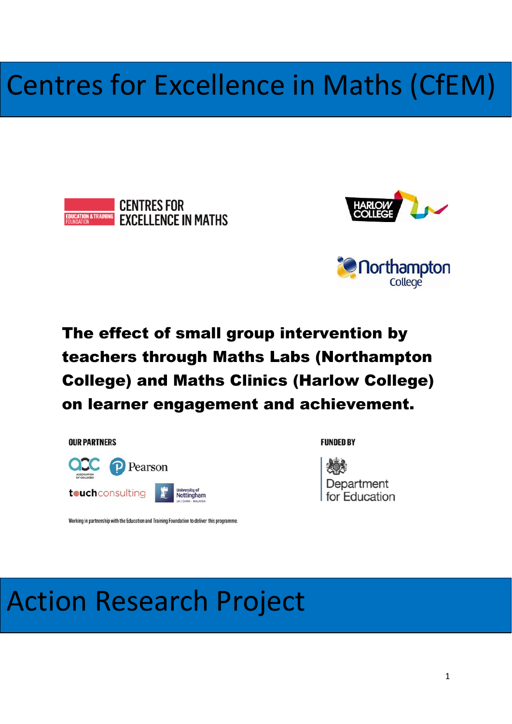# Centres for Excellence in Maths (CfEM)







# The effect of small group intervention by teachers through Maths Labs (Northampton College) and Maths Clinics (Harlow College) on learner engagement and achievement.

**OUR PARTNERS** 



**FUNDED BY** 



Working in partnership with the Education and Training Foundation to deliver this programme.

# Action Research Project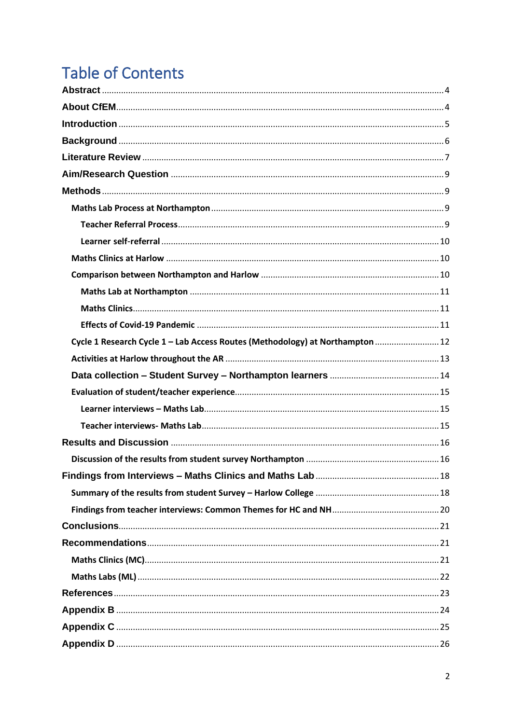# **Table of Contents**

| Cycle 1 Research Cycle 1 - Lab Access Routes (Methodology) at Northampton  12 |  |
|-------------------------------------------------------------------------------|--|
|                                                                               |  |
|                                                                               |  |
|                                                                               |  |
|                                                                               |  |
|                                                                               |  |
|                                                                               |  |
|                                                                               |  |
|                                                                               |  |
|                                                                               |  |
|                                                                               |  |
|                                                                               |  |
|                                                                               |  |
|                                                                               |  |
|                                                                               |  |
|                                                                               |  |
|                                                                               |  |
|                                                                               |  |
|                                                                               |  |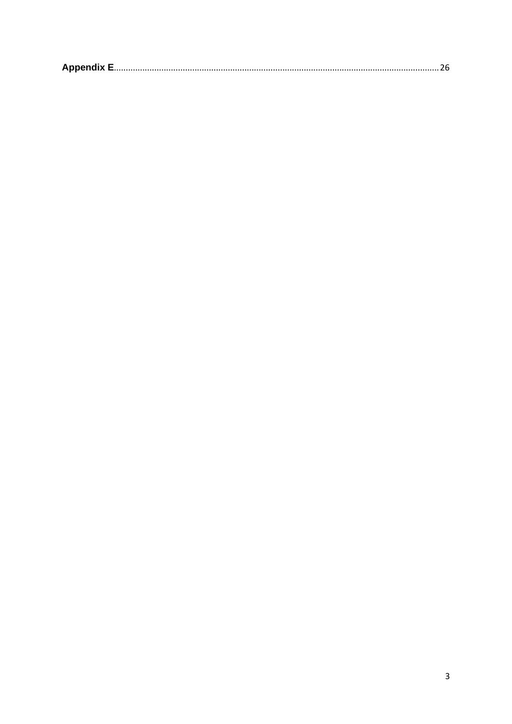|--|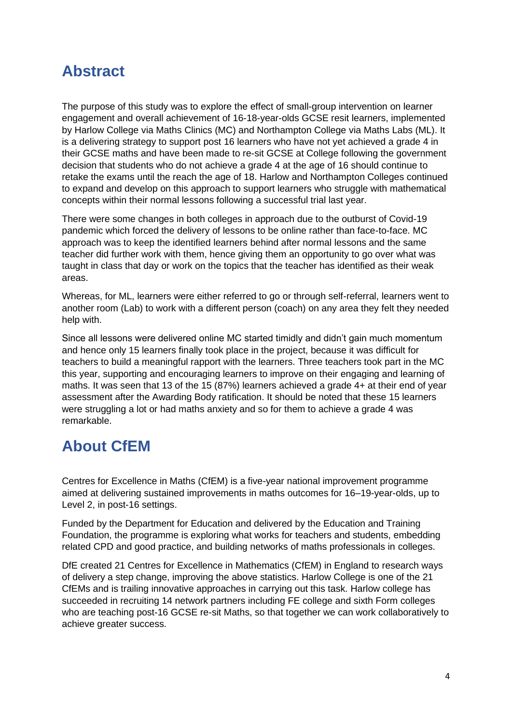## <span id="page-3-0"></span>**Abstract**

The purpose of this study was to explore the effect of small-group intervention on learner engagement and overall achievement of 16-18-year-olds GCSE resit learners, implemented by Harlow College via Maths Clinics (MC) and Northampton College via Maths Labs (ML). It is a delivering strategy to support post 16 learners who have not yet achieved a grade 4 in their GCSE maths and have been made to re-sit GCSE at College following the government decision that students who do not achieve a grade 4 at the age of 16 should continue to retake the exams until the reach the age of 18. Harlow and Northampton Colleges continued to expand and develop on this approach to support learners who struggle with mathematical concepts within their normal lessons following a successful trial last year.

There were some changes in both colleges in approach due to the outburst of Covid-19 pandemic which forced the delivery of lessons to be online rather than face-to-face. MC approach was to keep the identified learners behind after normal lessons and the same teacher did further work with them, hence giving them an opportunity to go over what was taught in class that day or work on the topics that the teacher has identified as their weak areas.

Whereas, for ML, learners were either referred to go or through self-referral, learners went to another room (Lab) to work with a different person (coach) on any area they felt they needed help with.

Since all lessons were delivered online MC started timidly and didn't gain much momentum and hence only 15 learners finally took place in the project, because it was difficult for teachers to build a meaningful rapport with the learners. Three teachers took part in the MC this year, supporting and encouraging learners to improve on their engaging and learning of maths. It was seen that 13 of the 15 (87%) learners achieved a grade 4+ at their end of year assessment after the Awarding Body ratification. It should be noted that these 15 learners were struggling a lot or had maths anxiety and so for them to achieve a grade 4 was remarkable.

## <span id="page-3-1"></span>**About CfEM**

Centres for Excellence in Maths (CfEM) is a five-year national improvement programme aimed at delivering sustained improvements in maths outcomes for 16–19-year-olds, up to Level 2, in post-16 settings.

Funded by the Department for Education and delivered by the Education and Training Foundation, the programme is exploring what works for teachers and students, embedding related CPD and good practice, and building networks of maths professionals in colleges.

DfE created 21 Centres for Excellence in Mathematics (CfEM) in England to research ways of delivery a step change, improving the above statistics. Harlow College is one of the 21 CfEMs and is trailing innovative approaches in carrying out this task. Harlow college has succeeded in recruiting 14 network partners including FE college and sixth Form colleges who are teaching post-16 GCSE re-sit Maths, so that together we can work collaboratively to achieve greater success.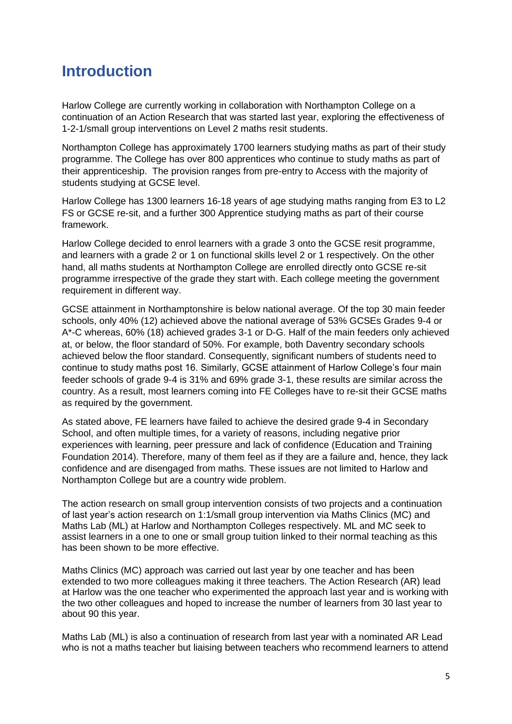## <span id="page-4-0"></span>**Introduction**

Harlow College are currently working in collaboration with Northampton College on a continuation of an Action Research that was started last year, exploring the effectiveness of 1-2-1/small group interventions on Level 2 maths resit students.

Northampton College has approximately 1700 learners studying maths as part of their study programme. The College has over 800 apprentices who continue to study maths as part of their apprenticeship. The provision ranges from pre-entry to Access with the majority of students studying at GCSE level.

Harlow College has 1300 learners 16-18 years of age studying maths ranging from E3 to L2 FS or GCSE re-sit, and a further 300 Apprentice studying maths as part of their course framework.

Harlow College decided to enrol learners with a grade 3 onto the GCSE resit programme, and learners with a grade 2 or 1 on functional skills level 2 or 1 respectively. On the other hand, all maths students at Northampton College are enrolled directly onto GCSE re-sit programme irrespective of the grade they start with. Each college meeting the government requirement in different way.

GCSE attainment in Northamptonshire is below national average. Of the top 30 main feeder schools, only 40% (12) achieved above the national average of 53% GCSEs Grades 9-4 or A\*-C whereas, 60% (18) achieved grades 3-1 or D-G. Half of the main feeders only achieved at, or below, the floor standard of 50%. For example, both Daventry secondary schools achieved below the floor standard. Consequently, significant numbers of students need to continue to study maths post 16. Similarly, GCSE attainment of Harlow College's four main feeder schools of grade 9-4 is 31% and 69% grade 3-1, these results are similar across the country. As a result, most learners coming into FE Colleges have to re-sit their GCSE maths as required by the government.

As stated above, FE learners have failed to achieve the desired grade 9-4 in Secondary School, and often multiple times, for a variety of reasons, including negative prior experiences with learning, peer pressure and lack of confidence (Education and Training Foundation 2014). Therefore, many of them feel as if they are a failure and, hence, they lack confidence and are disengaged from maths. These issues are not limited to Harlow and Northampton College but are a country wide problem.

The action research on small group intervention consists of two projects and a continuation of last year's action research on 1:1/small group intervention via Maths Clinics (MC) and Maths Lab (ML) at Harlow and Northampton Colleges respectively. ML and MC seek to assist learners in a one to one or small group tuition linked to their normal teaching as this has been shown to be more effective.

Maths Clinics (MC) approach was carried out last year by one teacher and has been extended to two more colleagues making it three teachers. The Action Research (AR) lead at Harlow was the one teacher who experimented the approach last year and is working with the two other colleagues and hoped to increase the number of learners from 30 last year to about 90 this year.

Maths Lab (ML) is also a continuation of research from last year with a nominated AR Lead who is not a maths teacher but liaising between teachers who recommend learners to attend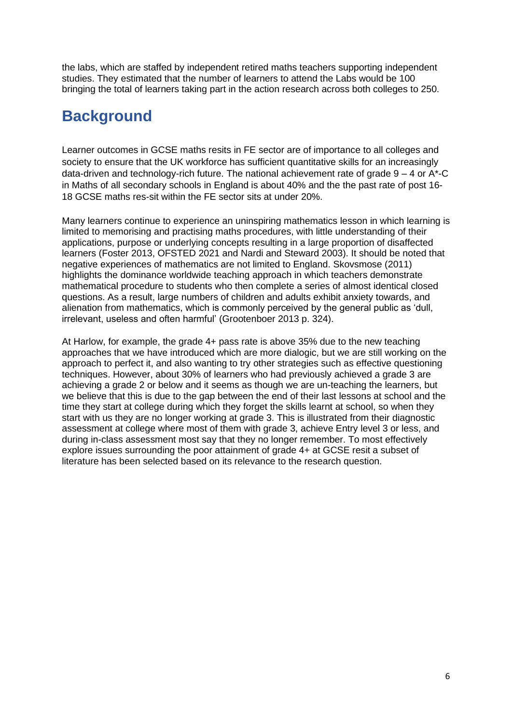the labs, which are staffed by independent retired maths teachers supporting independent studies. They estimated that the number of learners to attend the Labs would be 100 bringing the total of learners taking part in the action research across both colleges to 250.

## <span id="page-5-0"></span>**Background**

Learner outcomes in GCSE maths resits in FE sector are of importance to all colleges and society to ensure that the UK workforce has sufficient quantitative skills for an increasingly data-driven and technology-rich future. The national achievement rate of grade  $9 - 4$  or A\*-C in Maths of all secondary schools in England is about 40% and the the past rate of post 16- 18 GCSE maths res-sit within the FE sector sits at under 20%.

Many learners continue to experience an uninspiring mathematics lesson in which learning is limited to memorising and practising maths procedures, with little understanding of their applications, purpose or underlying concepts resulting in a large proportion of disaffected learners (Foster 2013, OFSTED 2021 and Nardi and Steward 2003). It should be noted that negative experiences of mathematics are not limited to England. Skovsmose (2011) highlights the dominance worldwide teaching approach in which teachers demonstrate mathematical procedure to students who then complete a series of almost identical closed questions. As a result, large numbers of children and adults exhibit anxiety towards, and alienation from mathematics, which is commonly perceived by the general public as 'dull, irrelevant, useless and often harmful' (Grootenboer 2013 p. 324).

At Harlow, for example, the grade 4+ pass rate is above 35% due to the new teaching approaches that we have introduced which are more dialogic, but we are still working on the approach to perfect it, and also wanting to try other strategies such as effective questioning techniques. However, about 30% of learners who had previously achieved a grade 3 are achieving a grade 2 or below and it seems as though we are un-teaching the learners, but we believe that this is due to the gap between the end of their last lessons at school and the time they start at college during which they forget the skills learnt at school, so when they start with us they are no longer working at grade 3. This is illustrated from their diagnostic assessment at college where most of them with grade 3, achieve Entry level 3 or less, and during in-class assessment most say that they no longer remember. To most effectively explore issues surrounding the poor attainment of grade 4+ at GCSE resit a subset of literature has been selected based on its relevance to the research question.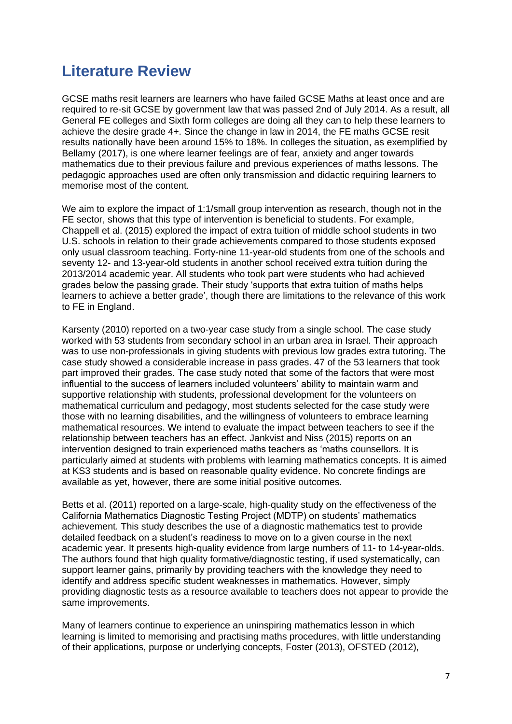## <span id="page-6-0"></span>**Literature Review**

GCSE maths resit learners are learners who have failed GCSE Maths at least once and are required to re-sit GCSE by government law that was passed 2nd of July 2014. As a result, all General FE colleges and Sixth form colleges are doing all they can to help these learners to achieve the desire grade 4+. Since the change in law in 2014, the FE maths GCSE resit results nationally have been around 15% to 18%. In colleges the situation, as exemplified by Bellamy (2017), is one where learner feelings are of fear, anxiety and anger towards mathematics due to their previous failure and previous experiences of maths lessons. The pedagogic approaches used are often only transmission and didactic requiring learners to memorise most of the content.

We aim to explore the impact of 1:1/small group intervention as research, though not in the FE sector, shows that this type of intervention is beneficial to students. For example, Chappell et al. (2015) explored the impact of extra tuition of middle school students in two U.S. schools in relation to their grade achievements compared to those students exposed only usual classroom teaching. Forty-nine 11-year-old students from one of the schools and seventy 12- and 13-year-old students in another school received extra tuition during the 2013/2014 academic year. All students who took part were students who had achieved grades below the passing grade. Their study 'supports that extra tuition of maths helps learners to achieve a better grade', though there are limitations to the relevance of this work to FE in England.

Karsenty (2010) reported on a two-year case study from a single school. The case study worked with 53 students from secondary school in an urban area in Israel. Their approach was to use non-professionals in giving students with previous low grades extra tutoring. The case study showed a considerable increase in pass grades. 47 of the 53 learners that took part improved their grades. The case study noted that some of the factors that were most influential to the success of learners included volunteers' ability to maintain warm and supportive relationship with students, professional development for the volunteers on mathematical curriculum and pedagogy, most students selected for the case study were those with no learning disabilities, and the willingness of volunteers to embrace learning mathematical resources. We intend to evaluate the impact between teachers to see if the relationship between teachers has an effect. Jankvist and Niss (2015) reports on an intervention designed to train experienced maths teachers as 'maths counsellors. It is particularly aimed at students with problems with learning mathematics concepts. It is aimed at KS3 students and is based on reasonable quality evidence. No concrete findings are available as yet, however, there are some initial positive outcomes.

Betts et al. (2011) reported on a large-scale, high-quality study on the effectiveness of the California Mathematics Diagnostic Testing Project (MDTP) on students' mathematics achievement. This study describes the use of a diagnostic mathematics test to provide detailed feedback on a student's readiness to move on to a given course in the next academic year. It presents high-quality evidence from large numbers of 11- to 14-year-olds. The authors found that high quality formative/diagnostic testing, if used systematically, can support learner gains, primarily by providing teachers with the knowledge they need to identify and address specific student weaknesses in mathematics. However, simply providing diagnostic tests as a resource available to teachers does not appear to provide the same improvements.

Many of learners continue to experience an uninspiring mathematics lesson in which learning is limited to memorising and practising maths procedures, with little understanding of their applications, purpose or underlying concepts, Foster (2013), OFSTED (2012),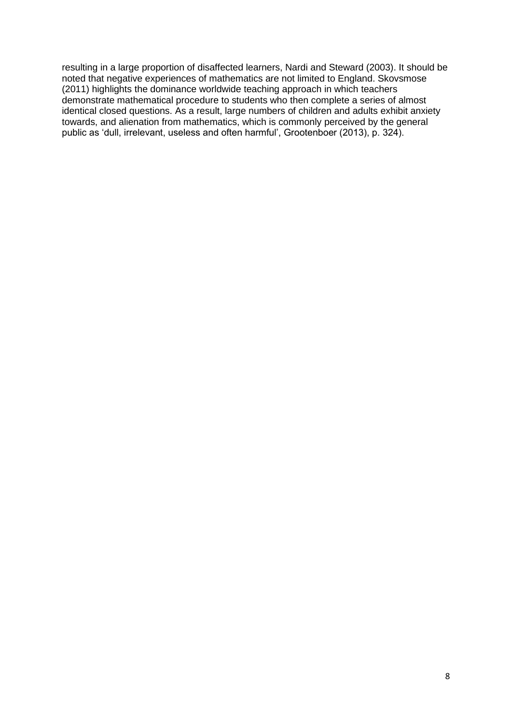resulting in a large proportion of disaffected learners, Nardi and Steward (2003). It should be noted that negative experiences of mathematics are not limited to England. Skovsmose (2011) highlights the dominance worldwide teaching approach in which teachers demonstrate mathematical procedure to students who then complete a series of almost identical closed questions. As a result, large numbers of children and adults exhibit anxiety towards, and alienation from mathematics, which is commonly perceived by the general public as 'dull, irrelevant, useless and often harmful', Grootenboer (2013), p. 324).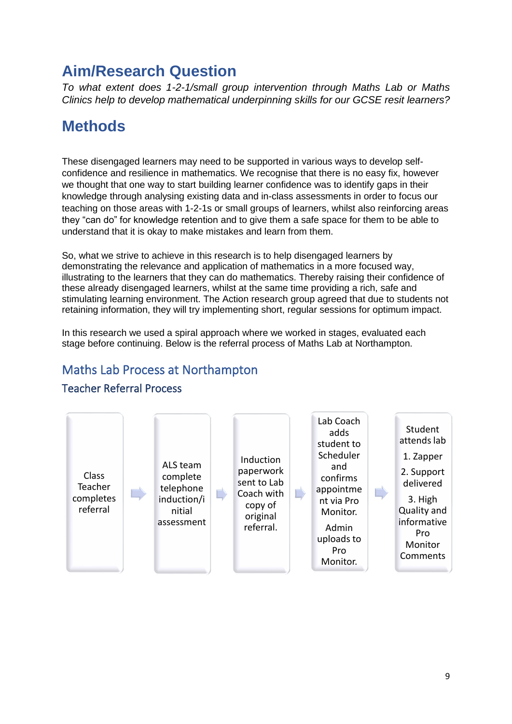## <span id="page-8-0"></span>**Aim/Research Question**

*To what extent does 1-2-1/small group intervention through Maths Lab or Maths Clinics help to develop mathematical underpinning skills for our GCSE resit learners?*

## <span id="page-8-1"></span>**Methods**

These disengaged learners may need to be supported in various ways to develop selfconfidence and resilience in mathematics. We recognise that there is no easy fix, however we thought that one way to start building learner confidence was to identify gaps in their knowledge through analysing existing data and in-class assessments in order to focus our teaching on those areas with 1-2-1s or small groups of learners, whilst also reinforcing areas they "can do" for knowledge retention and to give them a safe space for them to be able to understand that it is okay to make mistakes and learn from them.

So, what we strive to achieve in this research is to help disengaged learners by demonstrating the relevance and application of mathematics in a more focused way, illustrating to the learners that they can do mathematics. Thereby raising their confidence of these already disengaged learners, whilst at the same time providing a rich, safe and stimulating learning environment. The Action research group agreed that due to students not retaining information, they will try implementing short, regular sessions for optimum impact.

In this research we used a spiral approach where we worked in stages, evaluated each stage before continuing. Below is the referral process of Maths Lab at Northampton.

## <span id="page-8-2"></span>Maths Lab Process at Northampton



#### <span id="page-8-3"></span>Teacher Referral Process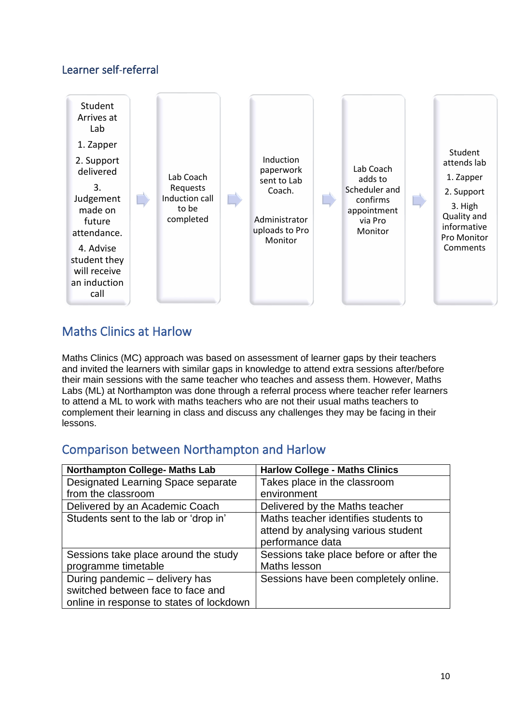#### <span id="page-9-0"></span>Learner self-referral



### <span id="page-9-1"></span>Maths Clinics at Harlow

Maths Clinics (MC) approach was based on assessment of learner gaps by their teachers and invited the learners with similar gaps in knowledge to attend extra sessions after/before their main sessions with the same teacher who teaches and assess them. However, Maths Labs (ML) at Northampton was done through a referral process where teacher refer learners to attend a ML to work with maths teachers who are not their usual maths teachers to complement their learning in class and discuss any challenges they may be facing in their lessons.

#### <span id="page-9-2"></span>Comparison between Northampton and Harlow

| <b>Northampton College- Maths Lab</b>    | <b>Harlow College - Maths Clinics</b>   |
|------------------------------------------|-----------------------------------------|
| Designated Learning Space separate       | Takes place in the classroom            |
| from the classroom                       | environment                             |
| Delivered by an Academic Coach           | Delivered by the Maths teacher          |
| Students sent to the lab or 'drop in'    | Maths teacher identifies students to    |
|                                          | attend by analysing various student     |
|                                          | performance data                        |
| Sessions take place around the study     | Sessions take place before or after the |
| programme timetable                      | Maths lesson                            |
| During pandemic - delivery has           | Sessions have been completely online.   |
| switched between face to face and        |                                         |
| online in response to states of lockdown |                                         |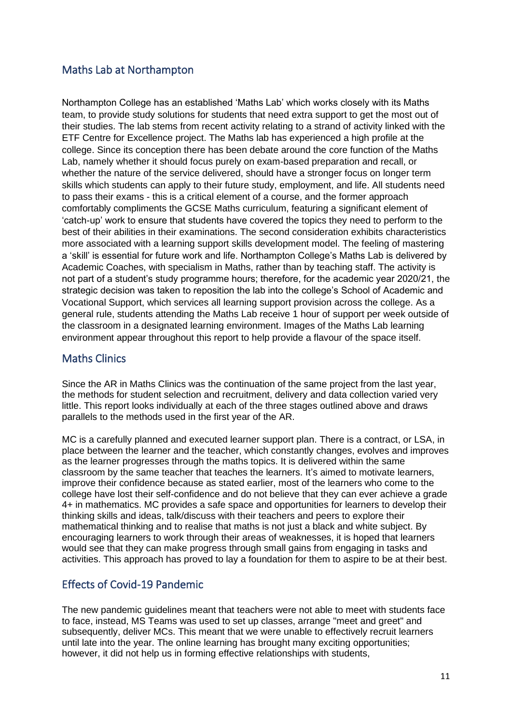#### <span id="page-10-0"></span>Maths Lab at Northampton

Northampton College has an established 'Maths Lab' which works closely with its Maths team, to provide study solutions for students that need extra support to get the most out of their studies. The lab stems from recent activity relating to a strand of activity linked with the ETF Centre for Excellence project. The Maths lab has experienced a high profile at the college. Since its conception there has been debate around the core function of the Maths Lab, namely whether it should focus purely on exam-based preparation and recall, or whether the nature of the service delivered, should have a stronger focus on longer term skills which students can apply to their future study, employment, and life. All students need to pass their exams - this is a critical element of a course, and the former approach comfortably compliments the GCSE Maths curriculum, featuring a significant element of 'catch-up' work to ensure that students have covered the topics they need to perform to the best of their abilities in their examinations. The second consideration exhibits characteristics more associated with a learning support skills development model. The feeling of mastering a 'skill' is essential for future work and life. Northampton College's Maths Lab is delivered by Academic Coaches, with specialism in Maths, rather than by teaching staff. The activity is not part of a student's study programme hours; therefore, for the academic year 2020/21, the strategic decision was taken to reposition the lab into the college's School of Academic and Vocational Support, which services all learning support provision across the college. As a general rule, students attending the Maths Lab receive 1 hour of support per week outside of the classroom in a designated learning environment. Images of the Maths Lab learning environment appear throughout this report to help provide a flavour of the space itself.

#### <span id="page-10-1"></span>Maths Clinics

Since the AR in Maths Clinics was the continuation of the same project from the last year, the methods for student selection and recruitment, delivery and data collection varied very little. This report looks individually at each of the three stages outlined above and draws parallels to the methods used in the first year of the AR.

MC is a carefully planned and executed learner support plan. There is a contract, or LSA, in place between the learner and the teacher, which constantly changes, evolves and improves as the learner progresses through the maths topics. It is delivered within the same classroom by the same teacher that teaches the learners. It's aimed to motivate learners, improve their confidence because as stated earlier, most of the learners who come to the college have lost their self-confidence and do not believe that they can ever achieve a grade 4+ in mathematics. MC provides a safe space and opportunities for learners to develop their thinking skills and ideas, talk/discuss with their teachers and peers to explore their mathematical thinking and to realise that maths is not just a black and white subject. By encouraging learners to work through their areas of weaknesses, it is hoped that learners would see that they can make progress through small gains from engaging in tasks and activities. This approach has proved to lay a foundation for them to aspire to be at their best.

#### <span id="page-10-2"></span>Effects of Covid-19 Pandemic

The new pandemic guidelines meant that teachers were not able to meet with students face to face, instead, MS Teams was used to set up classes, arrange "meet and greet" and subsequently, deliver MCs. This meant that we were unable to effectively recruit learners until late into the year. The online learning has brought many exciting opportunities; however, it did not help us in forming effective relationships with students,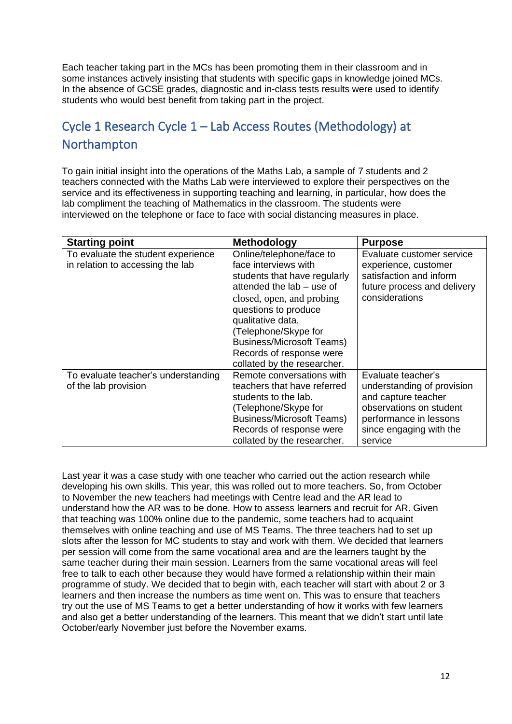Each teacher taking part in the MCs has been promoting them in their classroom and in some instances actively insisting that students with specific gaps in knowledge joined MCs. In the absence of GCSE grades, diagnostic and in-class tests results were used to identify students who would best benefit from taking part in the project.

## <span id="page-11-0"></span>Cycle 1 Research Cycle 1 – Lab Access Routes (Methodology) at Northampton

To gain initial insight into the operations of the Maths Lab, a sample of 7 students and 2 teachers connected with the Maths Lab were interviewed to explore their perspectives on the service and its effectiveness in supporting teaching and learning, in particular, how does the lab compliment the teaching of Mathematics in the classroom. The students were interviewed on the telephone or face to face with social distancing measures in place.

| <b>Starting point</b>                                                  | <b>Methodology</b>                                                                                                                                                                                                                                                                                             | <b>Purpose</b>                                                                                                                                                     |
|------------------------------------------------------------------------|----------------------------------------------------------------------------------------------------------------------------------------------------------------------------------------------------------------------------------------------------------------------------------------------------------------|--------------------------------------------------------------------------------------------------------------------------------------------------------------------|
| To evaluate the student experience<br>in relation to accessing the lab | Online/telephone/face to<br>face interviews with<br>students that have regularly<br>attended the lab - use of<br>closed, open, and probing<br>questions to produce<br>qualitative data.<br>(Telephone/Skype for<br><b>Business/Microsoft Teams)</b><br>Records of response were<br>collated by the researcher. | Evaluate customer service<br>experience, customer<br>satisfaction and inform<br>future process and delivery<br>considerations                                      |
| To evaluate teacher's understanding<br>of the lab provision            | Remote conversations with<br>teachers that have referred<br>students to the lab.<br>(Telephone/Skype for<br><b>Business/Microsoft Teams)</b><br>Records of response were<br>collated by the researcher.                                                                                                        | Evaluate teacher's<br>understanding of provision<br>and capture teacher<br>observations on student<br>performance in lessons<br>since engaging with the<br>service |

Last year it was a case study with one teacher who carried out the action research while developing his own skills. This year, this was rolled out to more teachers. So, from October to November the new teachers had meetings with Centre lead and the AR lead to understand how the AR was to be done. How to assess learners and recruit for AR. Given that teaching was 100% online due to the pandemic, some teachers had to acquaint themselves with online teaching and use of MS Teams. The three teachers had to set up slots after the lesson for MC students to stay and work with them. We decided that learners per session will come from the same vocational area and are the learners taught by the same teacher during their main session. Learners from the same vocational areas will feel free to talk to each other because they would have formed a relationship within their main programme of study. We decided that to begin with, each teacher will start with about 2 or 3 learners and then increase the numbers as time went on. This was to ensure that teachers try out the use of MS Teams to get a better understanding of how it works with few learners and also get a better understanding of the learners. This meant that we didn't start until late October/early November just before the November exams.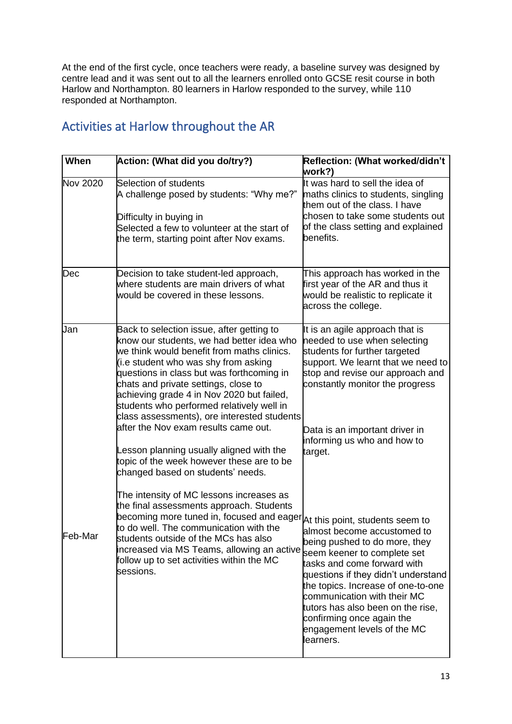At the end of the first cycle, once teachers were ready, a baseline survey was designed by centre lead and it was sent out to all the learners enrolled onto GCSE resit course in both Harlow and Northampton. 80 learners in Harlow responded to the survey, while 110 responded at Northampton.

## <span id="page-12-0"></span>Activities at Harlow throughout the AR

| When     | Action: (What did you do/try?)                                                                                                                                                                                                                                                                                                                                                                                                                     | Reflection: (What worked/didn't<br>work?)                                                                                                                                                                                                                                                                                                            |
|----------|----------------------------------------------------------------------------------------------------------------------------------------------------------------------------------------------------------------------------------------------------------------------------------------------------------------------------------------------------------------------------------------------------------------------------------------------------|------------------------------------------------------------------------------------------------------------------------------------------------------------------------------------------------------------------------------------------------------------------------------------------------------------------------------------------------------|
| Nov 2020 | Selection of students<br>A challenge posed by students: "Why me?"<br>Difficulty in buying in<br>Selected a few to volunteer at the start of<br>the term, starting point after Nov exams.                                                                                                                                                                                                                                                           | It was hard to sell the idea of<br>maths clinics to students, singling<br>them out of the class. I have<br>chosen to take some students out<br>of the class setting and explained<br>benefits.                                                                                                                                                       |
| Dec      | Decision to take student-led approach,<br>where students are main drivers of what<br>would be covered in these lessons.                                                                                                                                                                                                                                                                                                                            | This approach has worked in the<br>first year of the AR and thus it<br>would be realistic to replicate it<br>across the college.                                                                                                                                                                                                                     |
| Jan      | Back to selection issue, after getting to<br>know our students, we had better idea who<br>we think would benefit from maths clinics.<br>(i.e student who was shy from asking<br>questions in class but was forthcoming in<br>chats and private settings, close to<br>achieving grade 4 in Nov 2020 but failed,<br>students who performed relatively well in<br>class assessments), ore interested students<br>after the Nov exam results came out. | It is an agile approach that is<br>needed to use when selecting<br>students for further targeted<br>support. We learnt that we need to<br>stop and revise our approach and<br>constantly monitor the progress                                                                                                                                        |
|          | Lesson planning usually aligned with the<br>topic of the week however these are to be<br>changed based on students' needs.                                                                                                                                                                                                                                                                                                                         | Data is an important driver in<br>informing us who and how to<br>target.                                                                                                                                                                                                                                                                             |
| Feb-Mar  | The intensity of MC lessons increases as<br>the final assessments approach. Students<br>becoming more tuned in, focused and eager At this point, students seem to<br>to do well. The communication with the<br>students outside of the MCs has also<br>increased via MS Teams, allowing an active<br>follow up to set activities within the MC<br>sessions.                                                                                        | almost become accustomed to<br>being pushed to do more, they<br>seem keener to complete set<br>tasks and come forward with<br>questions if they didn't understand<br>the topics. Increase of one-to-one<br>communication with their MC<br>tutors has also been on the rise,<br>confirming once again the<br>engagement levels of the MC<br>learners. |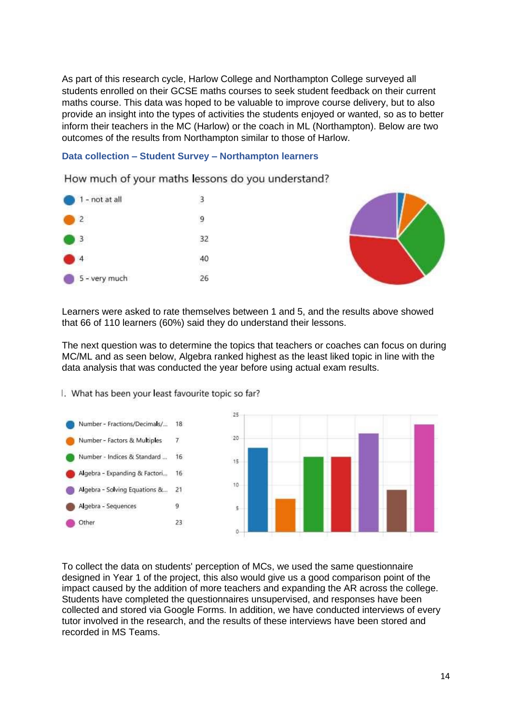As part of this research cycle, Harlow College and Northampton College surveyed all students enrolled on their GCSE maths courses to seek student feedback on their current maths course. This data was hoped to be valuable to improve course delivery, but to also provide an insight into the types of activities the students enjoyed or wanted, so as to better inform their teachers in the MC (Harlow) or the coach in ML (Northampton). Below are two outcomes of the results from Northampton similar to those of Harlow.

#### <span id="page-13-0"></span>**Data collection – Student Survey – Northampton learners**

How much of your maths lessons do you understand?





Learners were asked to rate themselves between 1 and 5, and the results above showed that 66 of 110 learners (60%) said they do understand their lessons.

The next question was to determine the topics that teachers or coaches can focus on during MC/ML and as seen below, Algebra ranked highest as the least liked topic in line with the data analysis that was conducted the year before using actual exam results.

I. What has been your least favourite topic so far?

Number - Fractions/Decimals/... 18 Number - Factors & Multiples  $\overline{7}$ Number - Indices & Standard ... 16 Algebra - Expanding & Factori... 16 Algebra - Solving Equations &...  $21$ Algebra - Sequences  $\alpha$ 23 Other



To collect the data on students' perception of MCs, we used the same questionnaire designed in Year 1 of the project, this also would give us a good comparison point of the impact caused by the addition of more teachers and expanding the AR across the college. Students have completed the questionnaires unsupervised, and responses have been collected and stored via Google Forms. In addition, we have conducted interviews of every tutor involved in the research, and the results of these interviews have been stored and recorded in MS Teams.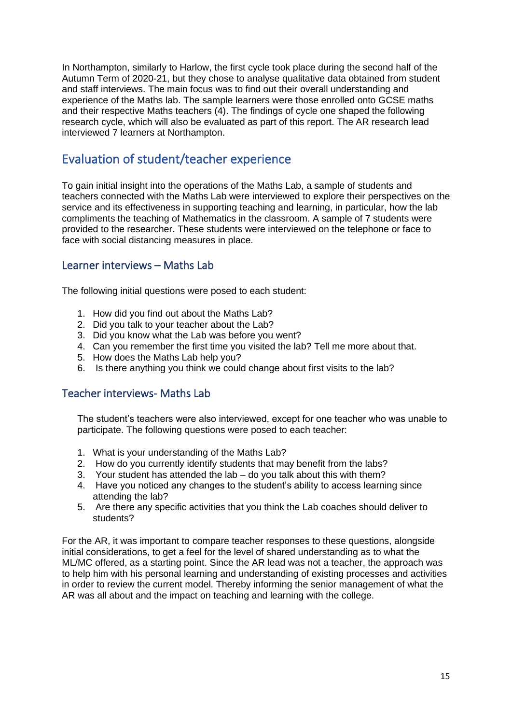In Northampton, similarly to Harlow, the first cycle took place during the second half of the Autumn Term of 2020-21, but they chose to analyse qualitative data obtained from student and staff interviews. The main focus was to find out their overall understanding and experience of the Maths lab. The sample learners were those enrolled onto GCSE maths and their respective Maths teachers (4). The findings of cycle one shaped the following research cycle, which will also be evaluated as part of this report. The AR research lead interviewed 7 learners at Northampton.

## <span id="page-14-0"></span>Evaluation of student/teacher experience

To gain initial insight into the operations of the Maths Lab, a sample of students and teachers connected with the Maths Lab were interviewed to explore their perspectives on the service and its effectiveness in supporting teaching and learning, in particular, how the lab compliments the teaching of Mathematics in the classroom. A sample of 7 students were provided to the researcher. These students were interviewed on the telephone or face to face with social distancing measures in place.

#### <span id="page-14-1"></span>Learner interviews – Maths Lab

The following initial questions were posed to each student:

- 1. How did you find out about the Maths Lab?
- 2. Did you talk to your teacher about the Lab?
- 3. Did you know what the Lab was before you went?
- 4. Can you remember the first time you visited the lab? Tell me more about that.
- 5. How does the Maths Lab help you?
- 6. Is there anything you think we could change about first visits to the lab?

#### <span id="page-14-2"></span>Teacher interviews- Maths Lab

The student's teachers were also interviewed, except for one teacher who was unable to participate. The following questions were posed to each teacher:

- 1. What is your understanding of the Maths Lab?
- 2. How do you currently identify students that may benefit from the labs?
- 3. Your student has attended the lab do you talk about this with them?
- 4. Have you noticed any changes to the student's ability to access learning since attending the lab?
- 5. Are there any specific activities that you think the Lab coaches should deliver to students?

For the AR, it was important to compare teacher responses to these questions, alongside initial considerations, to get a feel for the level of shared understanding as to what the ML/MC offered, as a starting point. Since the AR lead was not a teacher, the approach was to help him with his personal learning and understanding of existing processes and activities in order to review the current model. Thereby informing the senior management of what the AR was all about and the impact on teaching and learning with the college.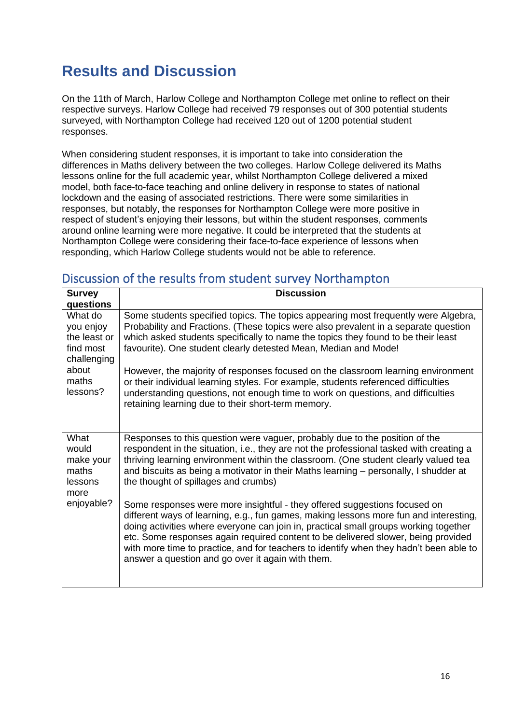## <span id="page-15-0"></span>**Results and Discussion**

On the 11th of March, Harlow College and Northampton College met online to reflect on their respective surveys. Harlow College had received 79 responses out of 300 potential students surveyed, with Northampton College had received 120 out of 1200 potential student responses.

When considering student responses, it is important to take into consideration the differences in Maths delivery between the two colleges. Harlow College delivered its Maths lessons online for the full academic year, whilst Northampton College delivered a mixed model, both face-to-face teaching and online delivery in response to states of national lockdown and the easing of associated restrictions. There were some similarities in responses, but notably, the responses for Northampton College were more positive in respect of student's enjoying their lessons, but within the student responses, comments around online learning were more negative. It could be interpreted that the students at Northampton College were considering their face-to-face experience of lessons when responding, which Harlow College students would not be able to reference.

### <span id="page-15-1"></span>Discussion of the results from student survey Northampton

| <b>Survey</b>                                                             | <b>Discussion</b>                                                                                                                                                                                                                                                                                                                                                                                                                                                                              |  |  |
|---------------------------------------------------------------------------|------------------------------------------------------------------------------------------------------------------------------------------------------------------------------------------------------------------------------------------------------------------------------------------------------------------------------------------------------------------------------------------------------------------------------------------------------------------------------------------------|--|--|
| questions                                                                 |                                                                                                                                                                                                                                                                                                                                                                                                                                                                                                |  |  |
| What do<br>you enjoy<br>the least or<br>find most<br>challenging<br>about | Some students specified topics. The topics appearing most frequently were Algebra,<br>Probability and Fractions. (These topics were also prevalent in a separate question<br>which asked students specifically to name the topics they found to be their least<br>favourite). One student clearly detested Mean, Median and Mode!<br>However, the majority of responses focused on the classroom learning environment                                                                          |  |  |
| maths<br>lessons?                                                         | or their individual learning styles. For example, students referenced difficulties<br>understanding questions, not enough time to work on questions, and difficulties<br>retaining learning due to their short-term memory.                                                                                                                                                                                                                                                                    |  |  |
| What<br>would<br>make your<br>maths<br>lessons<br>more                    | Responses to this question were vaguer, probably due to the position of the<br>respondent in the situation, i.e., they are not the professional tasked with creating a<br>thriving learning environment within the classroom. (One student clearly valued tea<br>and biscuits as being a motivator in their Maths learning – personally, I shudder at<br>the thought of spillages and crumbs)                                                                                                  |  |  |
| enjoyable?                                                                | Some responses were more insightful - they offered suggestions focused on<br>different ways of learning, e.g., fun games, making lessons more fun and interesting,<br>doing activities where everyone can join in, practical small groups working together<br>etc. Some responses again required content to be delivered slower, being provided<br>with more time to practice, and for teachers to identify when they hadn't been able to<br>answer a question and go over it again with them. |  |  |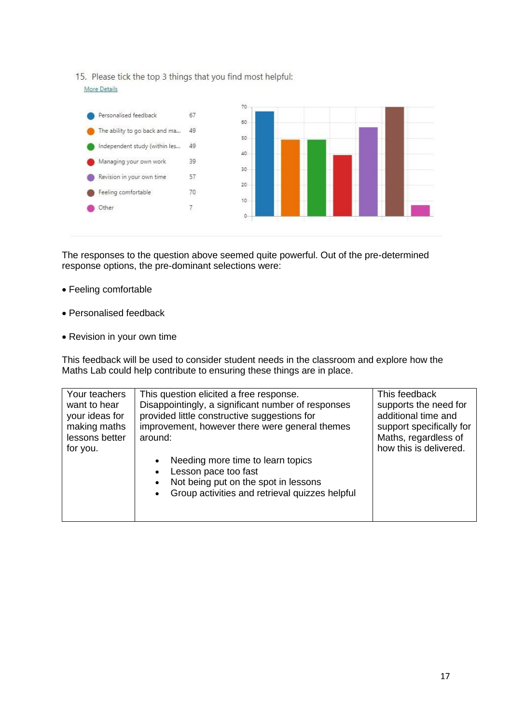15. Please tick the top 3 things that you find most helpful: More Details



The responses to the question above seemed quite powerful. Out of the pre-determined response options, the pre-dominant selections were:

- Feeling comfortable
- Personalised feedback
- Revision in your own time

This feedback will be used to consider student needs in the classroom and explore how the Maths Lab could help contribute to ensuring these things are in place.

| Your teachers<br>want to hear<br>your ideas for<br>making maths<br>lessons better<br>for you. | This question elicited a free response.<br>Disappointingly, a significant number of responses<br>provided little constructive suggestions for<br>improvement, however there were general themes<br>around: | This feedback<br>supports the need for<br>additional time and<br>support specifically for<br>Maths, regardless of<br>how this is delivered. |
|-----------------------------------------------------------------------------------------------|------------------------------------------------------------------------------------------------------------------------------------------------------------------------------------------------------------|---------------------------------------------------------------------------------------------------------------------------------------------|
|                                                                                               | Needing more time to learn topics<br>Lesson pace too fast<br>Not being put on the spot in lessons<br>$\bullet$<br>Group activities and retrieval quizzes helpful                                           |                                                                                                                                             |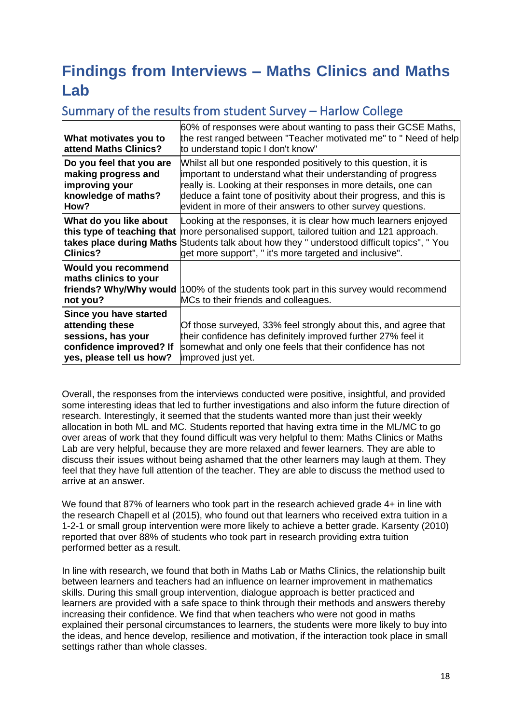# <span id="page-17-0"></span>**Findings from Interviews – Maths Clinics and Maths Lab**

## <span id="page-17-1"></span>Summary of the results from student Survey – Harlow College

| What motivates you to<br>attend Maths Clinics?                                                                         | 60% of responses were about wanting to pass their GCSE Maths,<br>the rest ranged between "Teacher motivated me" to " Need of help<br>to understand topic I don't know"                                                                                                                                                                  |
|------------------------------------------------------------------------------------------------------------------------|-----------------------------------------------------------------------------------------------------------------------------------------------------------------------------------------------------------------------------------------------------------------------------------------------------------------------------------------|
| Do you feel that you are<br>making progress and<br>improving your<br>knowledge of maths?<br>How?                       | Whilst all but one responded positively to this question, it is<br>important to understand what their understanding of progress<br>really is. Looking at their responses in more details, one can<br>deduce a faint tone of positivity about their progress, and this is<br>evident in more of their answers to other survey questions. |
| What do you like about<br>this type of teaching that<br>takes place during Maths<br><b>Clinics?</b>                    | Looking at the responses, it is clear how much learners enjoyed<br>more personalised support, tailored tuition and 121 approach.<br>Students talk about how they " understood difficult topics", " You<br>get more support", " it's more targeted and inclusive".                                                                       |
| <b>Would you recommend</b><br>maths clinics to your<br>friends? Why/Why would<br>not you?                              | 100% of the students took part in this survey would recommend<br>MCs to their friends and colleagues.                                                                                                                                                                                                                                   |
| Since you have started<br>attending these<br>sessions, has your<br>confidence improved? If<br>yes, please tell us how? | Of those surveyed, 33% feel strongly about this, and agree that<br>their confidence has definitely improved further 27% feel it<br>somewhat and only one feels that their confidence has not<br>improved just yet.                                                                                                                      |

Overall, the responses from the interviews conducted were positive, insightful, and provided some interesting ideas that led to further investigations and also inform the future direction of research. Interestingly, it seemed that the students wanted more than just their weekly allocation in both ML and MC. Students reported that having extra time in the ML/MC to go over areas of work that they found difficult was very helpful to them: Maths Clinics or Maths Lab are very helpful, because they are more relaxed and fewer learners. They are able to discuss their issues without being ashamed that the other learners may laugh at them. They feel that they have full attention of the teacher. They are able to discuss the method used to arrive at an answer.

We found that 87% of learners who took part in the research achieved grade 4+ in line with the research Chapell et al (2015), who found out that learners who received extra tuition in a 1-2-1 or small group intervention were more likely to achieve a better grade. Karsenty (2010) reported that over 88% of students who took part in research providing extra tuition performed better as a result.

In line with research, we found that both in Maths Lab or Maths Clinics, the relationship built between learners and teachers had an influence on learner improvement in mathematics skills. During this small group intervention, dialogue approach is better practiced and learners are provided with a safe space to think through their methods and answers thereby increasing their confidence. We find that when teachers who were not good in maths explained their personal circumstances to learners, the students were more likely to buy into the ideas, and hence develop, resilience and motivation, if the interaction took place in small settings rather than whole classes.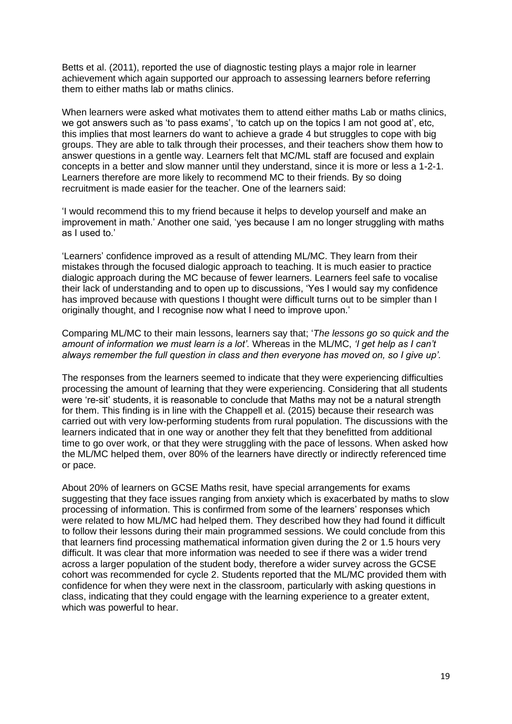Betts et al. (2011), reported the use of diagnostic testing plays a major role in learner achievement which again supported our approach to assessing learners before referring them to either maths lab or maths clinics.

When learners were asked what motivates them to attend either maths Lab or maths clinics, we got answers such as 'to pass exams', 'to catch up on the topics I am not good at', etc, this implies that most learners do want to achieve a grade 4 but struggles to cope with big groups. They are able to talk through their processes, and their teachers show them how to answer questions in a gentle way. Learners felt that MC/ML staff are focused and explain concepts in a better and slow manner until they understand, since it is more or less a 1-2-1. Learners therefore are more likely to recommend MC to their friends. By so doing recruitment is made easier for the teacher. One of the learners said:

'I would recommend this to my friend because it helps to develop yourself and make an improvement in math.' Another one said, 'yes because I am no longer struggling with maths as I used to.'

'Learners' confidence improved as a result of attending ML/MC. They learn from their mistakes through the focused dialogic approach to teaching. It is much easier to practice dialogic approach during the MC because of fewer learners. Learners feel safe to vocalise their lack of understanding and to open up to discussions, 'Yes I would say my confidence has improved because with questions I thought were difficult turns out to be simpler than I originally thought, and I recognise now what I need to improve upon.'

Comparing ML/MC to their main lessons, learners say that; '*The lessons go so quick and the amount of information we must learn is a lot'.* Whereas in the ML/MC, *'I get help as I can't always remember the full question in class and then everyone has moved on, so I give up'.* 

The responses from the learners seemed to indicate that they were experiencing difficulties processing the amount of learning that they were experiencing. Considering that all students were 're-sit' students, it is reasonable to conclude that Maths may not be a natural strength for them. This finding is in line with the Chappell et al. (2015) because their research was carried out with very low-performing students from rural population. The discussions with the learners indicated that in one way or another they felt that they benefitted from additional time to go over work, or that they were struggling with the pace of lessons. When asked how the ML/MC helped them, over 80% of the learners have directly or indirectly referenced time or pace.

About 20% of learners on GCSE Maths resit, have special arrangements for exams suggesting that they face issues ranging from anxiety which is exacerbated by maths to slow processing of information. This is confirmed from some of the learners' responses which were related to how ML/MC had helped them. They described how they had found it difficult to follow their lessons during their main programmed sessions. We could conclude from this that learners find processing mathematical information given during the 2 or 1.5 hours very difficult. It was clear that more information was needed to see if there was a wider trend across a larger population of the student body, therefore a wider survey across the GCSE cohort was recommended for cycle 2. Students reported that the ML/MC provided them with confidence for when they were next in the classroom, particularly with asking questions in class, indicating that they could engage with the learning experience to a greater extent, which was powerful to hear.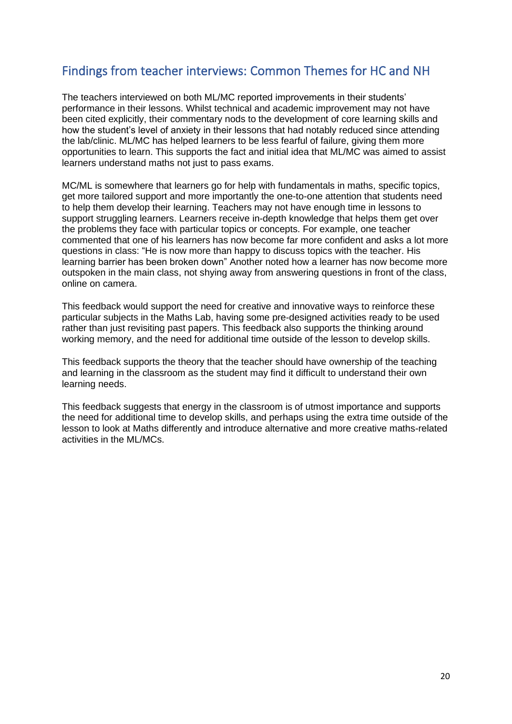### <span id="page-19-0"></span>Findings from teacher interviews: Common Themes for HC and NH

The teachers interviewed on both ML/MC reported improvements in their students' performance in their lessons. Whilst technical and academic improvement may not have been cited explicitly, their commentary nods to the development of core learning skills and how the student's level of anxiety in their lessons that had notably reduced since attending the lab/clinic. ML/MC has helped learners to be less fearful of failure, giving them more opportunities to learn. This supports the fact and initial idea that ML/MC was aimed to assist learners understand maths not just to pass exams.

MC/ML is somewhere that learners go for help with fundamentals in maths, specific topics, get more tailored support and more importantly the one-to-one attention that students need to help them develop their learning. Teachers may not have enough time in lessons to support struggling learners. Learners receive in-depth knowledge that helps them get over the problems they face with particular topics or concepts. For example, one teacher commented that one of his learners has now become far more confident and asks a lot more questions in class: "He is now more than happy to discuss topics with the teacher. His learning barrier has been broken down" Another noted how a learner has now become more outspoken in the main class, not shying away from answering questions in front of the class, online on camera.

This feedback would support the need for creative and innovative ways to reinforce these particular subjects in the Maths Lab, having some pre-designed activities ready to be used rather than just revisiting past papers. This feedback also supports the thinking around working memory, and the need for additional time outside of the lesson to develop skills.

This feedback supports the theory that the teacher should have ownership of the teaching and learning in the classroom as the student may find it difficult to understand their own learning needs.

This feedback suggests that energy in the classroom is of utmost importance and supports the need for additional time to develop skills, and perhaps using the extra time outside of the lesson to look at Maths differently and introduce alternative and more creative maths-related activities in the ML/MCs.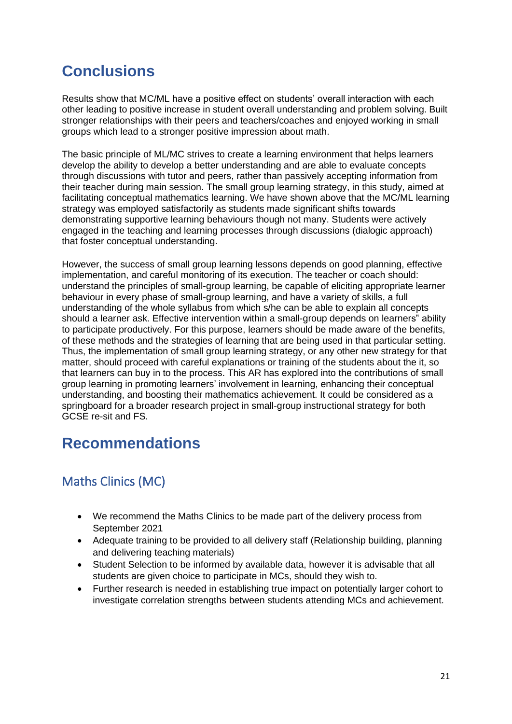# <span id="page-20-0"></span>**Conclusions**

Results show that MC/ML have a positive effect on students' overall interaction with each other leading to positive increase in student overall understanding and problem solving. Built stronger relationships with their peers and teachers/coaches and enjoyed working in small groups which lead to a stronger positive impression about math.

The basic principle of ML/MC strives to create a learning environment that helps learners develop the ability to develop a better understanding and are able to evaluate concepts through discussions with tutor and peers, rather than passively accepting information from their teacher during main session. The small group learning strategy, in this study, aimed at facilitating conceptual mathematics learning. We have shown above that the MC/ML learning strategy was employed satisfactorily as students made significant shifts towards demonstrating supportive learning behaviours though not many. Students were actively engaged in the teaching and learning processes through discussions (dialogic approach) that foster conceptual understanding.

However, the success of small group learning lessons depends on good planning, effective implementation, and careful monitoring of its execution. The teacher or coach should: understand the principles of small-group learning, be capable of eliciting appropriate learner behaviour in every phase of small-group learning, and have a variety of skills, a full understanding of the whole syllabus from which s/he can be able to explain all concepts should a learner ask. Effective intervention within a small-group depends on learners" ability to participate productively. For this purpose, learners should be made aware of the benefits, of these methods and the strategies of learning that are being used in that particular setting. Thus, the implementation of small group learning strategy, or any other new strategy for that matter, should proceed with careful explanations or training of the students about the it, so that learners can buy in to the process. This AR has explored into the contributions of small group learning in promoting learners' involvement in learning, enhancing their conceptual understanding, and boosting their mathematics achievement. It could be considered as a springboard for a broader research project in small-group instructional strategy for both GCSE re-sit and FS.

## <span id="page-20-1"></span>**Recommendations**

## <span id="page-20-2"></span>Maths Clinics (MC)

- We recommend the Maths Clinics to be made part of the delivery process from September 2021
- Adequate training to be provided to all delivery staff (Relationship building, planning and delivering teaching materials)
- Student Selection to be informed by available data, however it is advisable that all students are given choice to participate in MCs, should they wish to.
- Further research is needed in establishing true impact on potentially larger cohort to investigate correlation strengths between students attending MCs and achievement.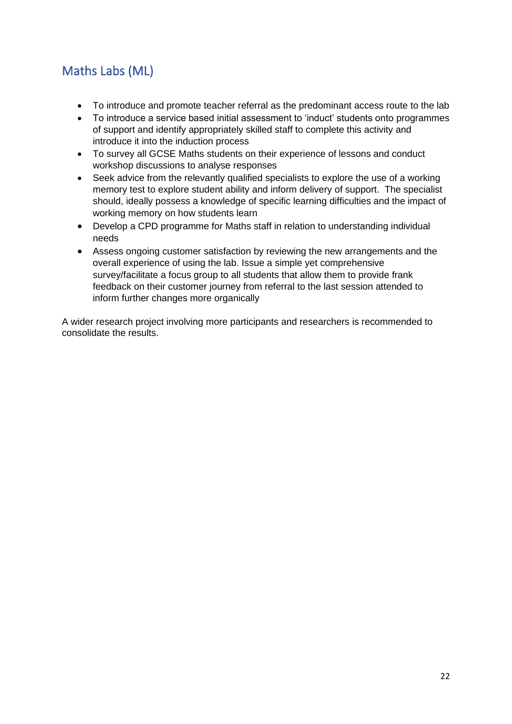## <span id="page-21-0"></span>Maths Labs (ML)

- To introduce and promote teacher referral as the predominant access route to the lab
- To introduce a service based initial assessment to 'induct' students onto programmes of support and identify appropriately skilled staff to complete this activity and introduce it into the induction process
- To survey all GCSE Maths students on their experience of lessons and conduct workshop discussions to analyse responses
- Seek advice from the relevantly qualified specialists to explore the use of a working memory test to explore student ability and inform delivery of support. The specialist should, ideally possess a knowledge of specific learning difficulties and the impact of working memory on how students learn
- Develop a CPD programme for Maths staff in relation to understanding individual needs
- Assess ongoing customer satisfaction by reviewing the new arrangements and the overall experience of using the lab. Issue a simple yet comprehensive survey/facilitate a focus group to all students that allow them to provide frank feedback on their customer journey from referral to the last session attended to inform further changes more organically

A wider research project involving more participants and researchers is recommended to consolidate the results.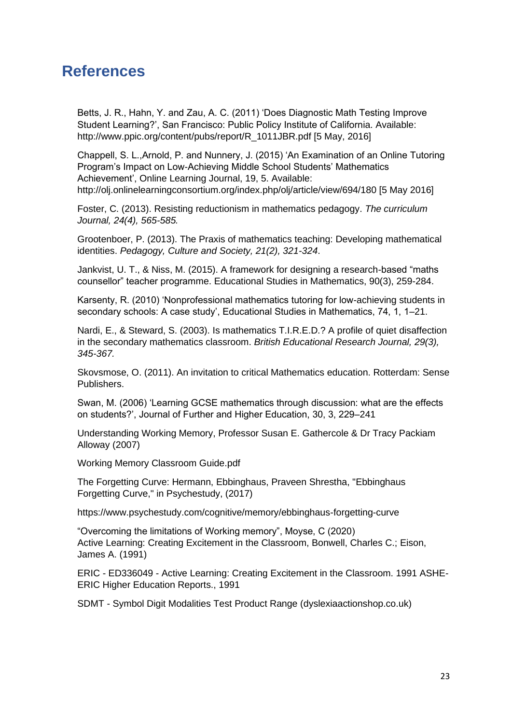## <span id="page-22-0"></span>**References**

Betts, J. R., Hahn, Y. and Zau, A. C. (2011) 'Does Diagnostic Math Testing Improve Student Learning?', San Francisco: Public Policy Institute of California. Available: http://www.ppic.org/content/pubs/report/R\_1011JBR.pdf [5 May, 2016]

Chappell, S. L.,Arnold, P. and Nunnery, J. (2015) 'An Examination of an Online Tutoring Program's Impact on Low-Achieving Middle School Students' Mathematics Achievement', Online Learning Journal, 19, 5. Available: http://olj.onlinelearningconsortium.org/index.php/olj/article/view/694/180 [5 May 2016]

Foster, C. (2013). Resisting reductionism in mathematics pedagogy. *The curriculum Journal, 24(4), 565-585.*

Grootenboer, P. (2013). The Praxis of mathematics teaching: Developing mathematical identities. *Pedagogy, Culture and Society, 21(2), 321-324*.

Jankvist, U. T., & Niss, M. (2015). A framework for designing a research-based "maths counsellor" teacher programme. Educational Studies in Mathematics, 90(3), 259-284.

Karsenty, R. (2010) 'Nonprofessional mathematics tutoring for low-achieving students in secondary schools: A case study', Educational Studies in Mathematics, 74, 1, 1–21.

Nardi, E., & Steward, S. (2003). Is mathematics T.I.R.E.D.? A profile of quiet disaffection in the secondary mathematics classroom. *British Educational Research Journal, 29(3), 345-367.*

Skovsmose, O. (2011). An invitation to critical Mathematics education. Rotterdam: Sense Publishers.

Swan, M. (2006) 'Learning GCSE mathematics through discussion: what are the effects on students?', Journal of Further and Higher Education, 30, 3, 229–241

Understanding Working Memory, Professor Susan E. Gathercole & Dr Tracy Packiam Alloway (2007)

Working Memory Classroom Guide.pdf

The Forgetting Curve: Hermann, Ebbinghaus, Praveen Shrestha, "Ebbinghaus Forgetting Curve," in Psychestudy, (2017)

https://www.psychestudy.com/cognitive/memory/ebbinghaus-forgetting-curve

"Overcoming the limitations of Working memory", Moyse, C (2020) Active Learning: Creating Excitement in the Classroom, Bonwell, Charles C.; Eison, James A. (1991)

ERIC - ED336049 - Active Learning: Creating Excitement in the Classroom. 1991 ASHE-ERIC Higher Education Reports., 1991

SDMT - Symbol Digit Modalities Test Product Range (dyslexiaactionshop.co.uk)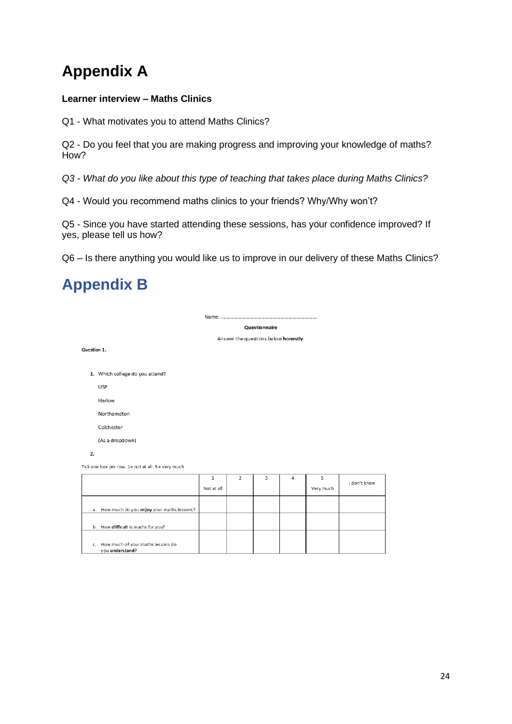# **Appendix A**

#### **Learner interview – Maths Clinics**

Q1 - What motivates you to attend Maths Clinics?

Q2 - Do you feel that you are making progress and improving your knowledge of maths? How?

*Q3 - What do you like about this type of teaching that takes place during Maths Clinics?*

Q4 - Would you recommend maths clinics to your friends? Why/Why won't?

Name: .....................

Q5 - Since you have started attending these sessions, has your confidence improved? If yes, please tell us how?

Q6 – Is there anything you would like us to improve in our delivery of these Maths Clinics?

# <span id="page-23-0"></span>**Appendix B**

Ouestionnaire

Answer the questions below honestly.

Question 1.

1. Which college do you attend?

USP

Harlow

Northampton

Colchester

(As a drondown)

2.

Tick one box per row. 1= not at all. 5 = very much

|                                                         | ×<br>Not at all | ₹ | 4 | Very much | I don't know |
|---------------------------------------------------------|-----------------|---|---|-----------|--------------|
| a. How much do you enjoy your maths lessons?            |                 |   |   |           |              |
| b. How difficult is maths for you?                      |                 |   |   |           |              |
| c. How much of your maths lessons do<br>you understand? |                 |   |   |           |              |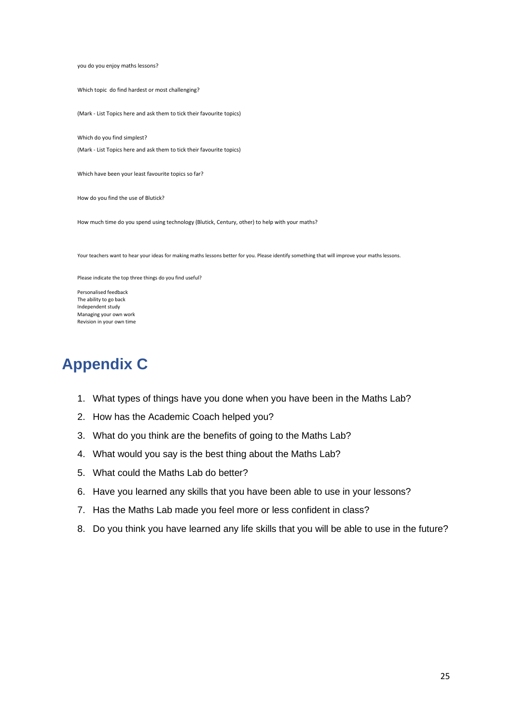you do you enjoy maths lessons?

Which topic do find hardest or most challenging?

(Mark - List Topics here and ask them to tick their favourite topics)

Which do you find simplest?

(Mark - List Topics here and ask them to tick their favourite topics)

Which have been your least favourite topics so far?

How do you find the use of Blutick?

How much time do you spend using technology (Blutick, Century, other) to help with your maths?

Your teachers want to hear your ideas for making maths lessons better for you. Please identify something that will improve your maths lessons.

Please indicate the top three things do you find useful?

Personalised feedback The ability to go back Independent study Managing your own work Revision in your own time

## <span id="page-24-0"></span>**Appendix C**

- 1. What types of things have you done when you have been in the Maths Lab?
- 2. How has the Academic Coach helped you?
- 3. What do you think are the benefits of going to the Maths Lab?
- 4. What would you say is the best thing about the Maths Lab?
- 5. What could the Maths Lab do better?
- 6. Have you learned any skills that you have been able to use in your lessons?
- 7. Has the Maths Lab made you feel more or less confident in class?
- 8. Do you think you have learned any life skills that you will be able to use in the future?